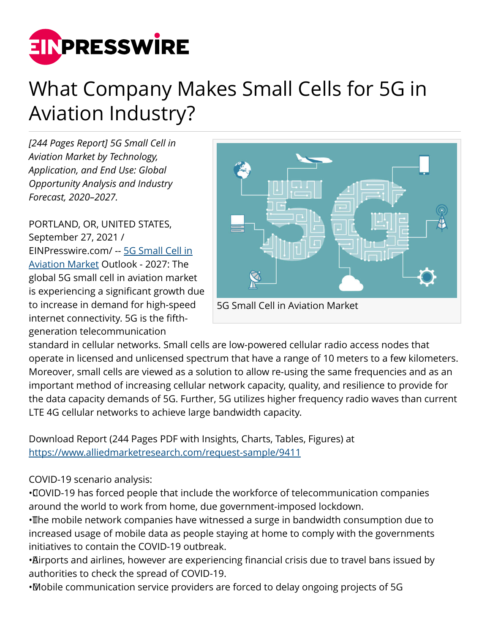

## What Company Makes Small Cells for 5G in Aviation Industry?

*[244 Pages Report] 5G Small Cell in Aviation Market by Technology, Application, and End Use: Global Opportunity Analysis and Industry Forecast, 2020–2027.*

PORTLAND, OR, UNITED STATES, September 27, 2021 / [EINPresswire.com](http://www.einpresswire.com)/ -- [5G Small Cell in](https://www.alliedmarketresearch.com/5g-small-cell-in-aviation-market-A09046) [Aviation Market](https://www.alliedmarketresearch.com/5g-small-cell-in-aviation-market-A09046) Outlook - 2027: The global 5G small cell in aviation market is experiencing a significant growth due to increase in demand for high-speed internet connectivity. 5G is the fifthgeneration telecommunication



standard in cellular networks. Small cells are low-powered cellular radio access nodes that operate in licensed and unlicensed spectrum that have a range of 10 meters to a few kilometers. Moreover, small cells are viewed as a solution to allow re-using the same frequencies and as an important method of increasing cellular network capacity, quality, and resilience to provide for the data capacity demands of 5G. Further, 5G utilizes higher frequency radio waves than current LTE 4G cellular networks to achieve large bandwidth capacity.

Download Report (244 Pages PDF with Insights, Charts, Tables, Figures) at <https://www.alliedmarketresearch.com/request-sample/9411>

## COVID-19 scenario analysis:

• COVID-19 has forced people that include the workforce of telecommunication companies around the world to work from home, due government-imposed lockdown.

• The mobile network companies have witnessed a surge in bandwidth consumption due to increased usage of mobile data as people staying at home to comply with the governments initiatives to contain the COVID-19 outbreak.

• Airports and airlines, however are experiencing financial crisis due to travel bans issued by authorities to check the spread of COVID-19.

• Mobile communication service providers are forced to delay ongoing projects of 5G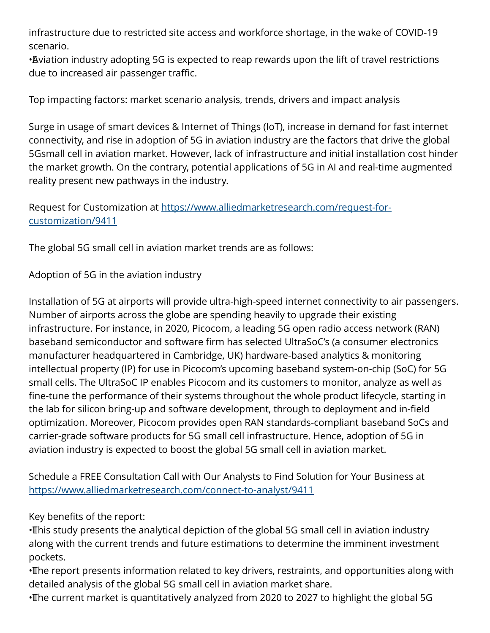infrastructure due to restricted site access and workforce shortage, in the wake of COVID-19 scenario.

• Aviation industry adopting 5G is expected to reap rewards upon the lift of travel restrictions due to increased air passenger traffic.

Top impacting factors: market scenario analysis, trends, drivers and impact analysis

Surge in usage of smart devices & Internet of Things (IoT), increase in demand for fast internet connectivity, and rise in adoption of 5G in aviation industry are the factors that drive the global 5Gsmall cell in aviation market. However, lack of infrastructure and initial installation cost hinder the market growth. On the contrary, potential applications of 5G in AI and real-time augmented reality present new pathways in the industry.

Request for Customization at [https://www.alliedmarketresearch.com/request-for](https://www.alliedmarketresearch.com/request-for-customization/9411)[customization/9411](https://www.alliedmarketresearch.com/request-for-customization/9411)

The global 5G small cell in aviation market trends are as follows:

Adoption of 5G in the aviation industry

Installation of 5G at airports will provide ultra-high-speed internet connectivity to air passengers. Number of airports across the globe are spending heavily to upgrade their existing infrastructure. For instance, in 2020, Picocom, a leading 5G open radio access network (RAN) baseband semiconductor and software firm has selected UltraSoC's (a consumer electronics manufacturer headquartered in Cambridge, UK) hardware-based analytics & monitoring intellectual property (IP) for use in Picocom's upcoming baseband system-on-chip (SoC) for 5G small cells. The UltraSoC IP enables Picocom and its customers to monitor, analyze as well as fine-tune the performance of their systems throughout the whole product lifecycle, starting in the lab for silicon bring-up and software development, through to deployment and in-field optimization. Moreover, Picocom provides open RAN standards-compliant baseband SoCs and carrier-grade software products for 5G small cell infrastructure. Hence, adoption of 5G in aviation industry is expected to boost the global 5G small cell in aviation market.

Schedule a FREE Consultation Call with Our Analysts to Find Solution for Your Business at <https://www.alliedmarketresearch.com/connect-to-analyst/9411>

Key benefits of the report:

• This study presents the analytical depiction of the global 5G small cell in aviation industry along with the current trends and future estimations to determine the imminent investment pockets.

• The report presents information related to key drivers, restraints, and opportunities along with detailed analysis of the global 5G small cell in aviation market share.

• The current market is quantitatively analyzed from 2020 to 2027 to highlight the global 5G